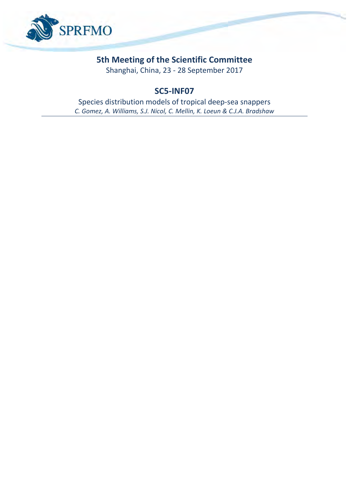

# **5th Meeting of the Scientific Committee**

Shanghai, China, 23 - 28 September 2017

# **SC5-INF07**

Species distribution models of tropical deep-sea snappers *C. Gomez, A. Williams, S.J. Nicol, C. Mellin, K. Loeun & C.J.A. Bradshaw*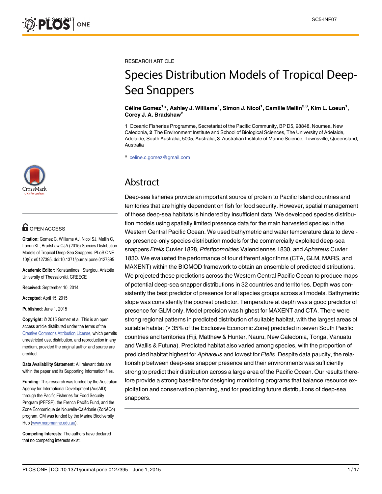RESEARCH ARTICLE

# Species Distribution Models of Tropical Deep-Sea Snappers

Céline Gomez<sup>1</sup>\*, Ashley J. Williams<sup>1</sup>, Simon J. Nicol<sup>1</sup>, Camille Mellin<sup>2,3</sup>, Kim L. Loeun<sup>1</sup>, Corey J. A. Bradshaw<sup>2</sup>

1 Oceanic Fisheries Programme, Secretariat of the Pacific Community, BP D5, 98848, Noumea, New Caledonia, 2 The Environment Institute and School of Biological Sciences, The University of Adelaide, Adelaide, South Australia, 5005, Australia, 3 Australian Institute of Marine Science, Townsville, Queensland, Australia

\* celine.c.gomez@gmail.com

# Abstract

Deep-sea fisheries provide an important source of protein to Pacific Island countries and territories that are highly dependent on fish for food security. However, spatial management of these deep-sea habitats is hindered by insufficient data. We developed species distribution models using spatially limited presence data for the main harvested species in the Western Central Pacific Ocean. We used bathymetric and water temperature data to develop presence-only species distribution models for the commercially exploited deep-sea snappers Etelis Cuvier 1828, Pristipomoides Valenciennes 1830, and Aphareus Cuvier 1830. We evaluated the performance of four different algorithms (CTA, GLM, MARS, and MAXENT) within the BIOMOD framework to obtain an ensemble of predicted distributions. We projected these predictions across the Western Central Pacific Ocean to produce maps of potential deep-sea snapper distributions in 32 countries and territories. Depth was consistently the best predictor of presence for all species groups across all models. Bathymetric slope was consistently the poorest predictor. Temperature at depth was a good predictor of presence for GLM only. Model precision was highest for MAXENT and CTA. There were strong regional patterns in predicted distribution of suitable habitat, with the largest areas of suitable habitat (> 35% of the Exclusive Economic Zone) predicted in seven South Pacific countries and territories (Fiji, Matthew & Hunter, Nauru, New Caledonia, Tonga, Vanuatu and Wallis & Futuna). Predicted habitat also varied among species, with the proportion of predicted habitat highest for Aphareus and lowest for Etelis. Despite data paucity, the relationship between deep-sea snapper presence and their environments was sufficiently strong to predict their distribution across a large area of the Pacific Ocean. Our results therefore provide a strong baseline for designing monitoring programs that balance resource exploitation and conservation planning, and for predicting future distributions of deep-sea snappers.



# **OPEN ACCESS**

Citation: Gomez C, Williams AJ, Nicol SJ, Mellin C, Loeun KL, Bradshaw CJA (2015) Species Distribution Models of Tropical Deep-Sea Snappers. PLoS ONE 10(6): e0127395. doi:10.1371/journal.pone.0127395

Academic Editor: Konstantinos I Stergiou, Aristotle University of Thessaloniki, GREECE

Received: September 10, 2014

Accepted: April 15, 2015

Published: June 1, 2015

Copyright: © 2015 Gomez et al. This is an open access article distributed under the terms of the [Creative Commons Attribution License,](http://creativecommons.org/licenses/by/4.0/) which permits unrestricted use, distribution, and reproduction in any medium, provided the original author and source are credited.

Data Availability Statement: All relevant data are within the paper and its Supporting Information files.

Funding: This research was funded by the Australian Agency for International Development (AusAID) through the Pacific Fisheries for Food Security Program (PFFSP), the French Pacific Fund, and the Zone Économique de Nouvelle-Calédonie (ZoNéCo) program. CM was funded by the Marine Biodiversity Hub ([www.nerpmarine.edu.au](http://www.nerpmarine.edu.au)).

Competing Interests: The authors have declared that no competing interests exist.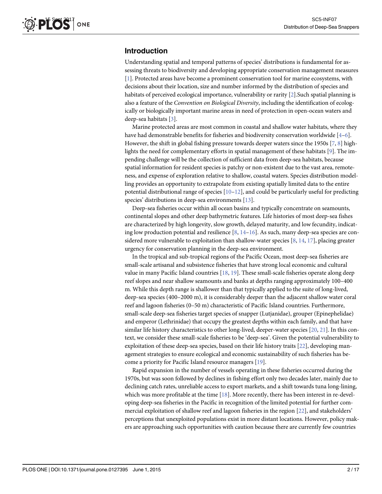## <span id="page-2-0"></span>Introduction

Understanding spatial and temporal patterns of species' distributions is fundamental for assessing threats to biodiversity and developing appropriate conservation management measures [\[1](#page-15-0)]. Protected areas have become a prominent conservation tool for marine ecosystems, with decisions about their location, size and number informed by the distribution of species and habitats of perceived ecological importance, vulnerability or rarity [\[2\]](#page-15-0). Such spatial planning is also a feature of the Convention on Biological Diversity, including the identification of ecologically or biologically important marine areas in need of protection in open-ocean waters and deep-sea habitats [[3\]](#page-15-0).

Marine protected areas are most common in coastal and shallow water habitats, where they have had demonstrable benefits for fisheries and biodiversity conservation worldwide [\[4](#page-15-0)–[6\]](#page-15-0). However, the shift in global fishing pressure towards deeper waters since the 1950s  $[7, 8]$  $[7, 8]$  $[7, 8]$  $[7, 8]$  $[7, 8]$  highlights the need for complementary efforts in spatial management of these habitats [[9\]](#page-15-0). The impending challenge will be the collection of sufficient data from deep-sea habitats, because spatial information for resident species is patchy or non-existent due to the vast area, remoteness, and expense of exploration relative to shallow, coastal waters. Species distribution modelling provides an opportunity to extrapolate from existing spatially limited data to the entire potential distributional range of species  $[10-12]$  $[10-12]$  $[10-12]$ , and could be particularly useful for predicting species' distributions in deep-sea environments [[13](#page-15-0)].

Deep-sea fisheries occur within all ocean basins and typically concentrate on seamounts, continental slopes and other deep bathymetric features. Life histories of most deep-sea fishes are characterized by high longevity, slow growth, delayed maturity, and low fecundity, indicating low production potential and resilience  $[8, 14-16]$  $[8, 14-16]$  $[8, 14-16]$  $[8, 14-16]$  $[8, 14-16]$ . As such, many deep-sea species are considered more vulnerable to exploitation than shallow-water species  $[8, 14, 17]$  $[8, 14, 17]$  $[8, 14, 17]$  $[8, 14, 17]$  $[8, 14, 17]$  $[8, 14, 17]$ , placing greater urgency for conservation planning in the deep-sea environment.

In the tropical and sub-tropical regions of the Pacific Ocean, most deep-sea fisheries are small-scale artisanal and subsistence fisheries that have strong local economic and cultural value in many Pacific Island countries [[18,](#page-15-0) [19\]](#page-15-0). These small-scale fisheries operate along deep reef slopes and near shallow seamounts and banks at depths ranging approximately 100–400 m. While this depth range is shallower than that typically applied to the suite of long-lived, deep-sea species (400–2000 m), it is considerably deeper than the adjacent shallow water coral reef and lagoon fisheries (0–50 m) characteristic of Pacific Island countries. Furthermore, small-scale deep-sea fisheries target species of snapper (Lutjanidae), grouper (Epinephelidae) and emperor (Lethrinidae) that occupy the greatest depths within each family, and that have similar life history characteristics to other long-lived, deeper-water species [[20](#page-16-0), [21](#page-16-0)]. In this context, we consider these small-scale fisheries to be 'deep-sea'. Given the potential vulnerability to exploitation of these deep-sea species, based on their life history traits [[22](#page-16-0)], developing management strategies to ensure ecological and economic sustainability of such fisheries has become a priority for Pacific Island resource managers [[19](#page-15-0)].

Rapid expansion in the number of vessels operating in these fisheries occurred during the 1970s, but was soon followed by declines in fishing effort only two decades later, mainly due to declining catch rates, unreliable access to export markets, and a shift towards tuna long-lining, which was more profitable at the time  $[18]$ . More recently, there has been interest in re-developing deep-sea fisheries in the Pacific in recognition of the limited potential for further commercial exploitation of shallow reef and lagoon fisheries in the region  $[22]$  $[22]$ , and stakeholders' perceptions that unexploited populations exist in more distant locations. However, policy makers are approaching such opportunities with caution because there are currently few countries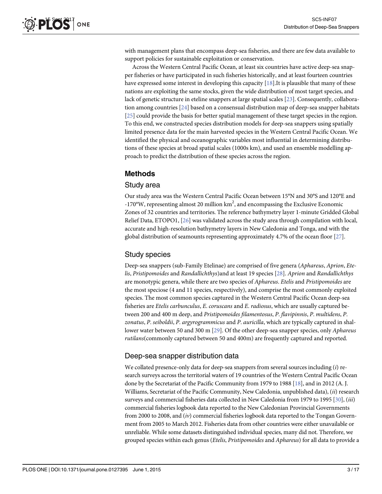<span id="page-3-0"></span>with management plans that encompass deep-sea fisheries, and there are few data available to support policies for sustainable exploitation or conservation.

Across the Western Central Pacific Ocean, at least six countries have active deep-sea snapper fisheries or have participated in such fisheries historically, and at least fourteen countries have expressed some interest in developing this capacity [\[18\]](#page-15-0).It is plausible that many of these nations are exploiting the same stocks, given the wide distribution of most target species, and lack of genetic structure in eteline snappers at large spatial scales [\[23\]](#page-16-0). Consequently, collaboration among countries [\[24\]](#page-16-0) based on a consensual distribution map of deep-sea snapper habitats [\[25](#page-16-0)] could provide the basis for better spatial management of these target species in the region. To this end, we constructed species distribution models for deep-sea snappers using spatially limited presence data for the main harvested species in the Western Central Pacific Ocean. We identified the physical and oceanographic variables most influential in determining distributions of these species at broad spatial scales (1000s km), and used an ensemble modelling approach to predict the distribution of these species across the region.

# Methods

#### Study area

Our study area was the Western Central Pacific Ocean between 15°N and 30°S and 120°E and -170°W, representing almost 20 million  $km^2$ , and encompassing the Exclusive Economic Zones of 32 countries and territories. The reference bathymetry layer 1-minute Gridded Global Relief Data, ETOPO1, [\[26\]](#page-16-0) was validated across the study area through compilation with local, accurate and high-resolution bathymetry layers in New Caledonia and Tonga, and with the global distribution of seamounts representing approximately 4.7% of the ocean floor  $[27]$  $[27]$ .

# Study species

Deep-sea snappers (sub-Family Etelinae) are comprised of five genera (Aphareus, Aprion, Ete-lis, Pristipomoides and Randallichthys)and at least 19 species [[28](#page-16-0)]. Aprion and Randallichthys are monotypic genera, while there are two species of Aphareus. Etelis and Pristipomoides are the most speciose (4 and 11 species, respectively), and comprise the most commonly exploited species. The most common species captured in the Western Central Pacific Ocean deep-sea fisheries are Etelis carbunculus, E. coruscans and E. radiosus, which are usually captured between 200 and 400 m deep, and Pristipomoides filamentosus, P. flavipinnis, P. multidens, P. zonatus, P. seiboldii, P. argyrogrammicus and P. auricilla, which are typically captured in shal-lower water between 50 and 300 m [[29](#page-16-0)]. Of the other deep-sea snapper species, only *Aphareus* rutilans(commonly captured between 50 and 400m) are frequently captured and reported.

## Deep-sea snapper distribution data

We collated presence-only data for deep-sea snappers from several sources including (i) research surveys across the territorial waters of 19 countries of the Western Central Pacific Ocean done by the Secretariat of the Pacific Community from 1979 to 1988 [[18](#page-15-0)], and in 2012 (A. J. Williams, Secretariat of the Pacific Community, New Caledonia, unpublished data), (ii) research surveys and commercial fisheries data collected in New Caledonia from 1979 to 1995 [\[30\]](#page-16-0), *(iii)* commercial fisheries logbook data reported to the New Caledonian Provincial Governments from 2000 to 2008, and  $(iv)$  commercial fisheries logbook data reported to the Tongan Government from 2005 to March 2012. Fisheries data from other countries were either unavailable or unreliable. While some datasets distinguished individual species, many did not. Therefore, we grouped species within each genus (Etelis, Pristipomoides and Aphareus) for all data to provide a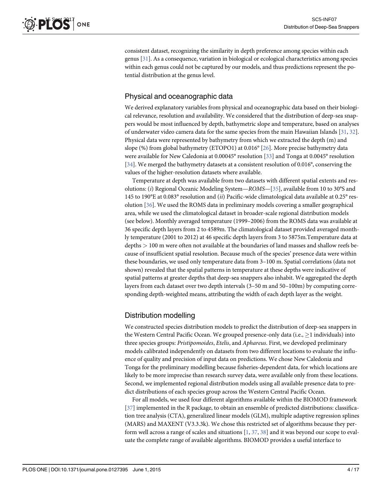<span id="page-4-0"></span>consistent dataset, recognizing the similarity in depth preference among species within each genus [\[31\]](#page-16-0). As a consequence, variation in biological or ecological characteristics among species within each genus could not be captured by our models, and thus predictions represent the potential distribution at the genus level.

### Physical and oceanographic data

We derived explanatory variables from physical and oceanographic data based on their biological relevance, resolution and availability. We considered that the distribution of deep-sea snappers would be most influenced by depth, bathymetric slope and temperature, based on analyses of underwater video camera data for the same species from the main Hawaiian Islands  $[31, 32]$  $[31, 32]$  $[31, 32]$ . Physical data were represented by bathymetry from which we extracted the depth (m) and slope (%) from global bathymetry (ETOPO1) at 0.016° [[26](#page-16-0)]. More precise bathymetry data were available for New Caledonia at 0.00045° resolution [\[33](#page-16-0)] and Tonga at 0.0045° resolution [\[34](#page-16-0)]. We merged the bathymetry datasets at a consistent resolution of 0.016°, conserving the values of the higher-resolution datasets where available.

Temperature at depth was available from two datasets with different spatial extents and resolutions: (i) Regional Oceanic Modeling System—ROMS—[\[35\]](#page-16-0), available from 10 to 30°S and 145 to 190°E at 0.083° resolution and (ii) Pacific-wide climatological data available at 0.25° resolution  $[36]$ . We used the ROMS data in preliminary models covering a smaller geographical area, while we used the climatological dataset in broader-scale regional distribution models (see below). Monthly averaged temperature (1999–2006) from the ROMS data was available at 36 specific depth layers from 2 to 4589m. The climatological dataset provided averaged monthly temperature (2001 to 2012) at 46 specific depth layers from 3 to 5875m.Temperature data at depths > 100 m were often not available at the boundaries of land masses and shallow reefs because of insufficient spatial resolution. Because much of the species' presence data were within these boundaries, we used only temperature data from 3–100 m. Spatial correlations (data not shown) revealed that the spatial patterns in temperature at these depths were indicative of spatial patterns at greater depths that deep-sea snappers also inhabit. We aggregated the depth layers from each dataset over two depth intervals (3–50 m and 50–100m) by computing corresponding depth-weighted means, attributing the width of each depth layer as the weight.

## Distribution modelling

We constructed species distribution models to predict the distribution of deep-sea snappers in the Western Central Pacific Ocean. We grouped presence-only data (i.e.,  $\geq$  1 individuals) into three species groups: Pristipomoides, Etelis, and Aphareus. First, we developed preliminary models calibrated independently on datasets from two different locations to evaluate the influence of quality and precision of input data on predictions. We chose New Caledonia and Tonga for the preliminary modelling because fisheries-dependent data, for which locations are likely to be more imprecise than research survey data, were available only from these locations. Second, we implemented regional distribution models using all available presence data to predict distributions of each species group across the Western Central Pacific Ocean.

For all models, we used four different algorithms available within the BIOMOD framework [\[37](#page-16-0)] implemented in the R package, to obtain an ensemble of predicted distributions: classification tree analysis (CTA), generalized linear models (GLM), multiple adaptive regression splines (MARS) and MAXENT (V3.3.3k). We chose this restricted set of algorithms because they perform well across a range of scales and situations  $[1, 37, 38]$  $[1, 37, 38]$  $[1, 37, 38]$  $[1, 37, 38]$  $[1, 37, 38]$  and it was beyond our scope to evaluate the complete range of available algorithms. BIOMOD provides a useful interface to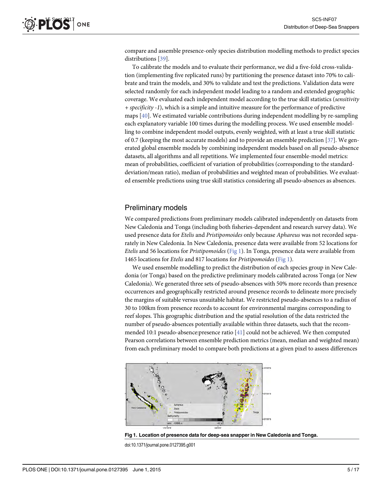<span id="page-5-0"></span>compare and assemble presence-only species distribution modelling methods to predict species distributions [\[39\]](#page-16-0).

To calibrate the models and to evaluate their performance, we did a five-fold cross-validation (implementing five replicated runs) by partitioning the presence dataset into 70% to calibrate and train the models, and 30% to validate and test the predictions. Validation data were selected randomly for each independent model leading to a random and extended geographic coverage. We evaluated each independent model according to the true skill statistics (sensitivity + specificity -1), which is a simple and intuitive measure for the performance of predictive maps [\[40\]](#page-16-0). We estimated variable contributions during independent modelling by re-sampling each explanatory variable 100 times during the modelling process. We used ensemble modelling to combine independent model outputs, evenly weighted, with at least a true skill statistic of 0.7 (keeping the most accurate models) and to provide an ensemble prediction [[37](#page-16-0)]. We generated global ensemble models by combining independent models based on all pseudo-absence datasets, all algorithms and all repetitions. We implemented four ensemble-model metrics: mean of probabilities, coefficient of variation of probabilities (corresponding to the standarddeviation/mean ratio), median of probabilities and weighted mean of probabilities. We evaluated ensemble predictions using true skill statistics considering all pseudo-absences as absences.

#### Preliminary models

We compared predictions from preliminary models calibrated independently on datasets from New Caledonia and Tonga (including both fisheries-dependent and research survey data). We used presence data for *Etelis* and *Pristipomoides* only because *Aphareus* was not recorded separately in New Caledonia. In New Caledonia, presence data were available from 52 locations for *Etelis* and 56 locations for *Pristipomoides* ( $Fig 1$ ). In Tonga, presence data were available from 1465 locations for Etelis and 817 locations for Pristipomoides (Fig 1).

We used ensemble modelling to predict the distribution of each species group in New Caledonia (or Tonga) based on the predictive preliminary models calibrated across Tonga (or New Caledonia). We generated three sets of pseudo-absences with 50% more records than presence occurrences and geographically restricted around presence records to delineate more precisely the margins of suitable versus unsuitable habitat. We restricted pseudo-absences to a radius of 30 to 100km from presence records to account for environmental margins corresponding to reef slopes. This geographic distribution and the spatial resolution of the data restricted the number of pseudo-absences potentially available within three datasets, such that the recommended 10:1 pseudo-absence:presence ratio [[41](#page-17-0)] could not be achieved. We then computed Pearson correlations between ensemble prediction metrics (mean, median and weighted mean) from each preliminary model to compare both predictions at a given pixel to assess differences



Fig 1. Location of presence data for deep-sea snapper in New Caledonia and Tonga.

doi:10.1371/journal.pone.0127395.g001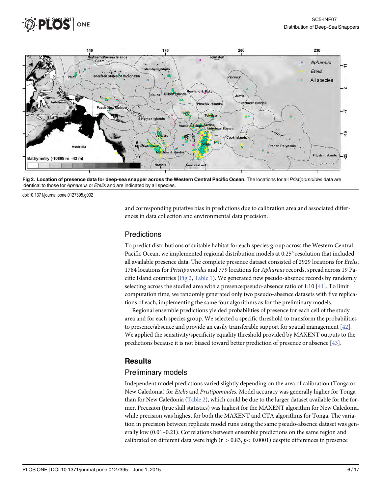<span id="page-6-0"></span>



Fig 2. Location of presence data for deep-sea snapper across the Western Central Pacific Ocean. The locations for all Pristipomoides data are identical to those for Aphareus or Etelis and are indicated by all species.

doi:10.1371/journal.pone.0127395.g002

and corresponding putative bias in predictions due to calibration area and associated differences in data collection and environmental data precision.

#### **Predictions**

To predict distributions of suitable habitat for each species group across the Western Central Pacific Ocean, we implemented regional distribution models at 0.25° resolution that included all available presence data. The complete presence dataset consisted of 2929 locations for Etelis, 1784 locations for Pristipomoides and 779 locations for Aphareus records, spread across 19 Pacific Island countries ( $Fig 2, Table 1$ ). We generated new pseudo-absence records by randomly selecting across the studied area with a presence:pseudo-absence ratio of 1:10 [[41](#page-17-0)]. To limit computation time, we randomly generated only two pseudo-absence datasets with five replications of each, implementing the same four algorithms as for the preliminary models.

Regional ensemble predictions yielded probabilities of presence for each cell of the study area and for each species group. We selected a specific threshold to transform the probabilities to presence/absence and provide an easily transferable support for spatial management [[42](#page-17-0)]. We applied the sensitivity/specificity equality threshold provided by MAXENT outputs to the predictions because it is not biased toward better prediction of presence or absence [\[43\]](#page-17-0).

#### **Results**

#### Preliminary models

Independent model predictions varied slightly depending on the area of calibration (Tonga or New Caledonia) for Etelis and Pristipomoides. Model accuracy was generally higher for Tonga than for New Caledonia [\(Table 2](#page-8-0)), which could be due to the larger dataset available for the former. Precision (true skill statistics) was highest for the MAXENT algorithm for New Caledonia, while precision was highest for both the MAXENT and CTA algorithms for Tonga. The variation in precision between replicate model runs using the same pseudo-absence dataset was generally low (0.01–0.21). Correlations between ensemble predictions on the same region and calibrated on different data were high ( $r > 0.83$ ,  $p < 0.0001$ ) despite differences in presence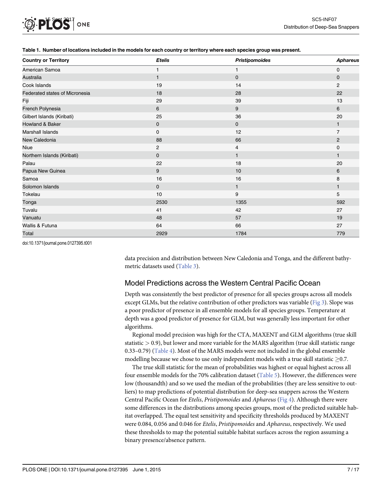<span id="page-7-0"></span>

| Table 1. Number of locations included in the models for each country or territory where each species group was present. |  |
|-------------------------------------------------------------------------------------------------------------------------|--|
|                                                                                                                         |  |

| <b>Country or Territory</b>    | <b>Etelis</b> | <b>Pristipomoides</b> | <b>Aphareus</b> |
|--------------------------------|---------------|-----------------------|-----------------|
| American Samoa                 |               |                       | 0               |
| Australia                      | $\mathbf{1}$  | $\mathbf 0$           | $\mathbf 0$     |
| Cook Islands                   | 19            | 14                    | $\overline{2}$  |
| Federated states of Micronesia | 18            | 28                    | 22              |
| Fiji                           | 29            | 39                    | 13              |
| French Polynesia               | 6             | 9                     | 6               |
| Gilbert Islands (Kiribati)     | 25            | 36                    | 20              |
| Howland & Baker                | $\mathbf 0$   | $\mathbf 0$           | 1               |
| Marshall Islands               | 0             | 12                    | $\overline{7}$  |
| New Caledonia                  | 88            | 66                    | $\overline{c}$  |
| Niue                           | 2             | $\overline{4}$        | 0               |
| Northern Islands (Kiribati)    | $\mathbf{0}$  | $\mathbf{1}$          | $\mathbf{1}$    |
| Palau                          | 22            | 18                    | 20              |
| Papua New Guinea               | 9             | 10                    | 6               |
| Samoa                          | 16            | 16                    | 8               |
| Solomon Islands                | $\mathbf{0}$  | $\mathbf{1}$          | $\mathbf{1}$    |
| Tokelau                        | 10            | 9                     | 5               |
| Tonga                          | 2530          | 1355                  | 592             |
| Tuvalu                         | 41            | 42                    | 27              |
| Vanuatu                        | 48            | 57                    | 19              |
| Wallis & Futuna                | 64            | 66                    | 27              |
| Total                          | 2929          | 1784                  | 779             |

doi:10.1371/journal.pone.0127395.t001

data precision and distribution between New Caledonia and Tonga, and the different bathymetric datasets used ([Table 3\)](#page-8-0).

## Model Predictions across the Western Central Pacific Ocean

Depth was consistently the best predictor of presence for all species groups across all models except GLMs, but the relative contribution of other predictors was variable ([Fig 3](#page-9-0)). Slope was a poor predictor of presence in all ensemble models for all species groups. Temperature at depth was a good predictor of presence for GLM, but was generally less important for other algorithms.

Regional model precision was high for the CTA, MAXENT and GLM algorithms (true skill statistic  $> 0.9$ ), but lower and more variable for the MARS algorithm (true skill statistic range 0.33–0.79) [\(Table 4\)](#page-9-0). Most of the MARS models were not included in the global ensemble modelling because we chose to use only independent models with a true skill statistic  $\geq 0.7$ .

The true skill statistic for the mean of probabilities was highest or equal highest across all four ensemble models for the 70% calibration dataset ([Table 5\)](#page-10-0). However, the differences were low (thousandth) and so we used the median of the probabilities (they are less sensitive to outliers) to map predictions of potential distribution for deep-sea snappers across the Western Central Pacific Ocean for Etelis, Pristipomoides and Aphareus [\(Fig 4\)](#page-11-0). Although there were some differences in the distributions among species groups, most of the predicted suitable habitat overlapped. The equal test sensitivity and specificity thresholds produced by MAXENT were 0.084, 0.056 and 0.046 for Etelis, Pristipomoides and Aphareus, respectively. We used these thresholds to map the potential suitable habitat surfaces across the region assuming a binary presence/absence pattern.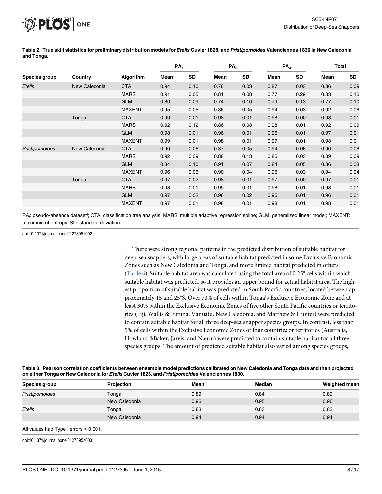<span id="page-8-0"></span>

[Table 2.](#page-6-0) True skill statistics for preliminary distribution models for Etelis Cuvier 1828, and Pristipomoides Valenciennes 1830 in New Caledonia and Tonga.

|                      | Country       |                  | PA <sub>1</sub> |      | PA <sub>2</sub> |           | PA <sub>3</sub> |      | <b>Total</b> |      |
|----------------------|---------------|------------------|-----------------|------|-----------------|-----------|-----------------|------|--------------|------|
| <b>Species group</b> |               | <b>Algorithm</b> | Mean            | SD   | Mean            | <b>SD</b> | Mean            | SD   | Mean         | SD   |
| Etelis               | New Caledonia | <b>CTA</b>       | 0.94            | 0.10 | 0.78            | 0.03      | 0.87            | 0.03 | 0.86         | 0.09 |
|                      |               | <b>MARS</b>      | 0.91            | 0.05 | 0.81            | 0.08      | 0.77            | 0.29 | 0.83         | 0.16 |
|                      |               | <b>GLM</b>       | 0.80            | 0.09 | 0.74            | 0.10      | 0.79            | 0.13 | 0.77         | 0.10 |
|                      |               | <b>MAXENT</b>    | 0.95            | 0.05 | 0.86            | 0.05      | 0.94            | 0.03 | 0.92         | 0.06 |
|                      | Tonga         | <b>CTA</b>       | 0.99            | 0.01 | 0.98            | 0.01      | 0.98            | 0.00 | 0.98         | 0.01 |
|                      |               | <b>MARS</b>      | 0.92            | 0.12 | 0.86            | 0.08      | 0.98            | 0.01 | 0.92         | 0.09 |
|                      |               | <b>GLM</b>       | 0.98            | 0.01 | 0.96            | 0.01      | 0.96            | 0.01 | 0.97         | 0.01 |
|                      |               | <b>MAXENT</b>    | 0.99            | 0.01 | 0.98            | 0.01      | 0.97            | 0.01 | 0.98         | 0.01 |
| Pristipomoides       | New Caledonia | <b>CTA</b>       | 0.90            | 0.06 | 0.87            | 0.05      | 0.94            | 0.06 | 0.90         | 0.06 |
|                      |               | <b>MARS</b>      | 0.92            | 0.09 | 0.88            | 0.13      | 0.86            | 0.03 | 0.89         | 0.09 |
|                      |               | <b>GLM</b>       | 0.84            | 0.10 | 0.91            | 0.07      | 0.84            | 0.05 | 0.86         | 0.08 |
|                      |               | <b>MAXENT</b>    | 0.96            | 0.06 | 0.90            | 0.04      | 0.96            | 0.03 | 0.94         | 0.04 |
|                      | Tonga         | <b>CTA</b>       | 0.97            | 0.02 | 0.98            | 0.01      | 0.97            | 0.00 | 0.97         | 0.01 |
|                      |               | <b>MARS</b>      | 0.98            | 0.01 | 0.99            | 0.01      | 0.98            | 0.01 | 0.98         | 0.01 |
|                      |               | <b>GLM</b>       | 0.97            | 0.02 | 0.96            | 0.02      | 0.96            | 0.01 | 0.96         | 0.01 |
|                      |               | <b>MAXENT</b>    | 0.97            | 0.01 | 0.98            | 0.01      | 0.98            | 0.01 | 0.98         | 0.01 |

PA<sub>i</sub>: pseudo-absence dataseti; CTA: classification tree analysis; MARS: multiple adaptive regression spline; GLM: generalized linear model; MAXENT: maximum of entropy; SD: standard deviation.

doi:10.1371/journal.pone.0127395.t002

There were strong regional patterns in the predicted distribution of suitable habitat for deep-sea snappers, with large areas of suitable habitat predicted in some Exclusive Economic Zones such as New Caledonia and Tonga, and more limited habitat predicted in others [\(Table 6\)](#page-12-0). Suitable habitat area was calculated using the total area of 0.25° cells within which suitable habitat was predicted, so it provides an upper bound for actual habitat area. The highest proportion of suitable habitat was predicted in South Pacific countries, located between approximately 15 and 25°S. Over 70% of cells within Tonga's Exclusive Economic Zone and at least 30% within the Exclusive Economic Zones of five other South Pacific countries or territories (Fiji, Wallis & Futuna, Vanuatu, New Caledonia, and Matthew & Hunter) were predicted to contain suitable habitat for all three deep-sea snapper species groups. In contrast, less than 5% of cells within the Exclusive Economic Zones of four countries or territories (Australia, Howland &Baker, Jarvis, and Nauru) were predicted to contain suitable habitat for all three species groups. The amount of predicted suitable habitat also varied among species groups,

| Table 3. Pearson correlation coefficients between ensemble model predictions calibrated on New Caledonia and Tonga data and then projected |
|--------------------------------------------------------------------------------------------------------------------------------------------|
| on either Tonga or New Caledonia for Etelis Cuvier 1828, and Pristipomoides Valenciennes 1830.                                             |

| <b>Species group</b> | Projection    | Mean | <b>Median</b> | Weighted mean |
|----------------------|---------------|------|---------------|---------------|
| Pristipomoides       | Tonga         | 0.89 | 0.84          | 0.89          |
|                      | New Caledonia | 0.96 | 0.95          | 0.96          |
| Etelis               | Tonga         | 0.83 | 0.83          | 0.83          |
|                      | New Caledonia | 0.94 | 0.94          | 0.94          |

All values had Type I errors < 0.001.

doi:10.1371/journal.pone.0127395.t003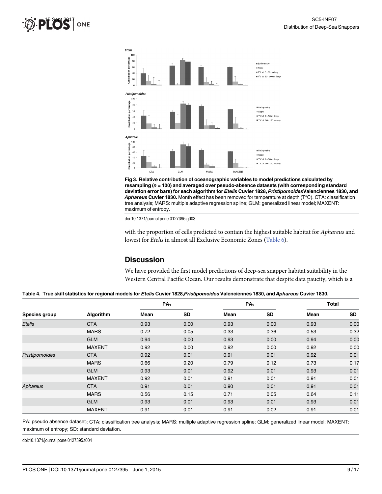<span id="page-9-0"></span>



[Fig 3. R](#page-7-0)elative contribution of oceanographic variables to model predictions calculated by resampling  $(n = 100)$  and averaged over pseudo-absence datasets (with corresponding standard deviation error bars) for each algorithm for Etelis Cuvier 1828, PristipomoidesValenciennes 1830, and Aphareus Cuvier 1830. Month effect has been removed for temperature at depth (T°C). CTA: classification tree analysis; MARS: multiple adaptive regression spline; GLM: generalized linear model; MAXENT: maximum of entropy.

doi:10.1371/journal.pone.0127395.g003

with the proportion of cells predicted to contain the highest suitable habitat for Aphareus and lowest for Etelis in almost all Exclusive Economic Zones ([Table 6\)](#page-12-0).

#### **Discussion**

We have provided the first model predictions of deep-sea snapper habitat suitability in the Western Central Pacific Ocean. Our results demonstrate that despite data paucity, which is a

|  | Table 4. True skill statistics for regional models for Etelis Cuvier 1828, Pristipomoides Valenciennes 1830, and Aphareus Cuvier 1830. |  |  |  |  |
|--|----------------------------------------------------------------------------------------------------------------------------------------|--|--|--|--|
|--|----------------------------------------------------------------------------------------------------------------------------------------|--|--|--|--|

|                      | Algorithm     | PA <sub>1</sub> |           | PA <sub>2</sub> |           | Total       |      |
|----------------------|---------------|-----------------|-----------|-----------------|-----------|-------------|------|
| <b>Species group</b> |               | Mean            | <b>SD</b> | Mean            | <b>SD</b> | <b>Mean</b> | SD   |
| <b>Etelis</b>        | <b>CTA</b>    | 0.93            | 0.00      | 0.93            | 0.00      | 0.93        | 0.00 |
|                      | <b>MARS</b>   | 0.72            | 0.05      | 0.33            | 0.36      | 0.53        | 0.32 |
|                      | <b>GLM</b>    | 0.94            | 0.00      | 0.93            | 0.00      | 0.94        | 0.00 |
|                      | <b>MAXENT</b> | 0.92            | 0.00      | 0.92            | 0.00      | 0.92        | 0.00 |
| Pristipomoides       | <b>CTA</b>    | 0.92            | 0.01      | 0.91            | 0.01      | 0.92        | 0.01 |
|                      | <b>MARS</b>   | 0.66            | 0.20      | 0.79            | 0.12      | 0.73        | 0.17 |
|                      | <b>GLM</b>    | 0.93            | 0.01      | 0.92            | 0.01      | 0.93        | 0.01 |
|                      | <b>MAXENT</b> | 0.92            | 0.01      | 0.91            | 0.01      | 0.91        | 0.01 |
| Aphareus             | <b>CTA</b>    | 0.91            | 0.01      | 0.90            | 0.01      | 0.91        | 0.01 |
|                      | <b>MARS</b>   | 0.56            | 0.15      | 0.71            | 0.05      | 0.64        | 0.11 |
|                      | <b>GLM</b>    | 0.93            | 0.01      | 0.93            | 0.01      | 0.93        | 0.01 |
|                      | <b>MAXENT</b> | 0.91            | 0.01      | 0.91            | 0.02      | 0.91        | 0.01 |

PA: pseudo absence dataset;; CTA: classification tree analysis; MARS: multiple adaptive regression spline; GLM: generalized linear model; MAXENT: maximum of entropy; SD: standard deviation.

doi:10.1371/journal.pone.0127395.t004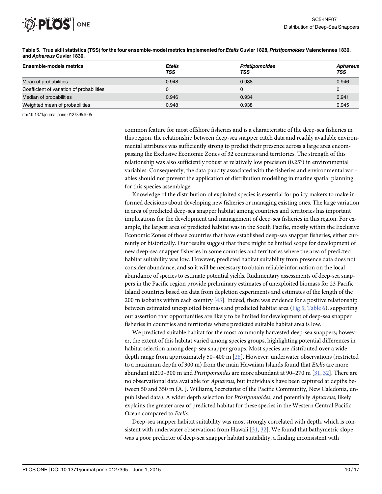<span id="page-10-0"></span>

[Table 5.](#page-7-0) True skill statistics (TSS) for the four ensemble-model metrics implemented for Etelis Cuvier 1828, Pristipomoides Valenciennes 1830, and Aphareus Cuvier 1830.

| <b>Ensemble-models metrics</b>            | <b>Etelis</b><br><b>TSS</b> | <b>Pristipomoides</b><br>TSS | <b>Aphareus</b><br><b>TSS</b> |
|-------------------------------------------|-----------------------------|------------------------------|-------------------------------|
| Mean of probabilities                     | 0.948                       | 0.938                        | 0.946                         |
| Coefficient of variation of probabilities |                             |                              | $\mathbf 0$                   |
| Median of probabilities                   | 0.946                       | 0.934                        | 0.941                         |
| Weighted mean of probabilities            | 0.948                       | 0.938                        | 0.945                         |

doi:10.1371/journal.pone.0127395.t005

common feature for most offshore fisheries and is a characteristic of the deep-sea fisheries in this region, the relationship between deep-sea snapper catch data and readily available environmental attributes was sufficiently strong to predict their presence across a large area encompassing the Exclusive Economic Zones of 32 countries and territories. The strength of this relationship was also sufficiently robust at relatively low precision (0.25°) in environmental variables. Consequently, the data paucity associated with the fisheries and environmental variables should not prevent the application of distribution modelling in marine spatial planning for this species assemblage.

Knowledge of the distribution of exploited species is essential for policy makers to make informed decisions about developing new fisheries or managing existing ones. The large variation in area of predicted deep-sea snapper habitat among countries and territories has important implications for the development and management of deep-sea fisheries in this region. For example, the largest area of predicted habitat was in the South Pacific, mostly within the Exclusive Economic Zones of those countries that have established deep-sea snapper fisheries, either currently or historically. Our results suggest that there might be limited scope for development of new deep-sea snapper fisheries in some countries and territories where the area of predicted habitat suitability was low. However, predicted habitat suitability from presence data does not consider abundance, and so it will be necessary to obtain reliable information on the local abundance of species to estimate potential yields. Rudimentary assessments of deep-sea snappers in the Pacific region provide preliminary estimates of unexploited biomass for 23 Pacific Island countries based on data from depletion experiments and estimates of the length of the 200 m isobaths within each country  $[43]$  $[43]$  $[43]$ . Indeed, there was evidence for a positive relationship between estimated unexploited biomass and predicted habitat area ([Fig 5;](#page-13-0) [Table 6\)](#page-12-0), supporting our assertion that opportunities are likely to be limited for development of deep-sea snapper fisheries in countries and territories where predicted suitable habitat area is low.

We predicted suitable habitat for the most commonly harvested deep-sea snappers; however, the extent of this habitat varied among species groups, highlighting potential differences in habitat selection among deep-sea snapper groups. Most species are distributed over a wide depth range from approximately 50–400 m [\[28\]](#page-16-0). However, underwater observations (restricted to a maximum depth of 300 m) from the main Hawaiian Islands found that Etelis are more abundant at210–300 m and Pristipomoides are more abundant at 90–270 m [[31,](#page-16-0) [32\]](#page-16-0). There are no observational data available for Aphareus, but individuals have been captured at depths between 50 and 350 m (A. J. Williams, Secretariat of the Pacific Community, New Caledonia, unpublished data). A wider depth selection for Pristipomoides, and potentially Aphareus, likely explains the greater area of predicted habitat for these species in the Western Central Pacific Ocean compared to Etelis.

Deep-sea snapper habitat suitability was most strongly correlated with depth, which is consistent with underwater observations from Hawaii [[31](#page-16-0), [32](#page-16-0)]. We found that bathymetric slope was a poor predictor of deep-sea snapper habitat suitability, a finding inconsistent with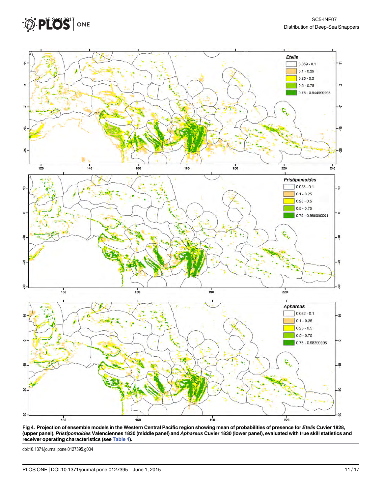<span id="page-11-0"></span>

[Fig 4. P](#page-7-0)rojection of ensemble models in the Western Central Pacific region showing mean of probabilities of presence for Etelis Cuvier 1828, (upper panel), Pristipomoides Valenciennes 1830 (middle panel) and Aphareus Cuvier 1830 (lower panel), evaluated with true skill statistics and receiver operating characteristics (see [Table 4](#page-9-0)).

doi:10.1371/journal.pone.0127395.g004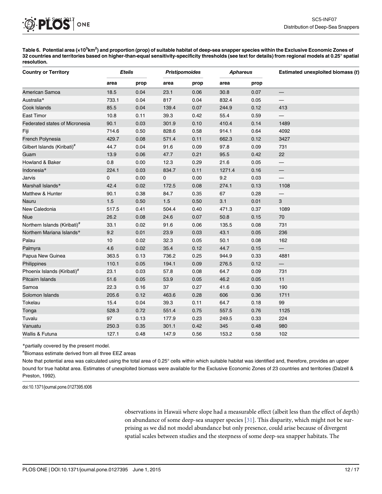<span id="page-12-0"></span>[Table 6.](#page-8-0) Potential area (×10<sup>3</sup>km<sup>2</sup>) and proportion (prop) of suitable habitat of deep-sea snapper species within the Exclusive Economic Zones of 32 countries and territories based on higher-than-equal sensitivity-specificity thresholds (see text for details) from regional models at 0.25° spatial resolution.

| <b>Country or Territory</b>             | <b>Etelis</b> |      |       | <b>Pristipomoides</b> |        | <b>Aphareus</b> | Estimated unexploited biomass (t) |  |
|-----------------------------------------|---------------|------|-------|-----------------------|--------|-----------------|-----------------------------------|--|
|                                         | area          | prop | area  | prop                  | area   | prop            |                                   |  |
| American Samoa                          | 18.5          | 0.04 | 23.1  | 0.06                  | 30.8   | 0.07            | $\overline{\phantom{0}}$          |  |
| Australia*                              | 733.1         | 0.04 | 817   | 0.04                  | 832.4  | 0.05            |                                   |  |
| Cook Islands                            | 85.5          | 0.04 | 139.4 | 0.07                  | 244.9  | 0.12            | 413                               |  |
| <b>East Timor</b>                       | 10.8          | 0.11 | 39.3  | 0.42                  | 55.4   | 0.59            | $\overline{\phantom{0}}$          |  |
| <b>Federated states of Micronesia</b>   | 90.1          | 0.03 | 301.9 | 0.10                  | 410.4  | 0.14            | 1489                              |  |
| Fiji                                    | 714.6         | 0.50 | 828.6 | 0.58                  | 914.1  | 0.64            | 4092                              |  |
| French Polynesia                        | 429.7         | 0.08 | 571.4 | 0.11                  | 662.3  | 0.12            | 3427                              |  |
| Gilbert Islands (Kiribati)#             | 44.7          | 0.04 | 91.6  | 0.09                  | 97.8   | 0.09            | 731                               |  |
| Guam                                    | 13.9          | 0.06 | 47.7  | 0.21                  | 95.5   | 0.42            | 22                                |  |
| Howland & Baker                         | 0.8           | 0.00 | 12.3  | 0.29                  | 21.6   | 0.05            |                                   |  |
| Indonesia*                              | 224.1         | 0.03 | 834.7 | 0.11                  | 1271.4 | 0.16            | $\overline{\phantom{0}}$          |  |
| Jarvis                                  | 0             | 0.00 | 0     | 0.00                  | 9.2    | 0.03            | $\overline{\phantom{0}}$          |  |
| Marshall Islands*                       | 42.4          | 0.02 | 172.5 | 0.08                  | 274.1  | 0.13            | 1108                              |  |
| Matthew & Hunter                        | 90.1          | 0.38 | 84.7  | 0.35                  | 67     | 0.28            | —                                 |  |
| Nauru                                   | 1.5           | 0.50 | 1.5   | 0.50                  | 3.1    | 0.01            | 3                                 |  |
| New Caledonia                           | 517.5         | 0.41 | 504.4 | 0.40                  | 471.3  | 0.37            | 1089                              |  |
| Niue                                    | 26.2          | 0.08 | 24.6  | 0.07                  | 50.8   | 0.15            | 70                                |  |
| Northern Islands (Kiribati)#            | 33.1          | 0.02 | 91.6  | 0.06                  | 135.5  | 0.08            | 731                               |  |
| Northern Mariana Islands*               | 9.2           | 0.01 | 23.9  | 0.03                  | 43.1   | 0.05            | 236                               |  |
| Palau                                   | 10            | 0.02 | 32.3  | 0.05                  | 50.1   | 0.08            | 162                               |  |
| Palmyra                                 | 4.6           | 0.02 | 35.4  | 0.12                  | 44.7   | 0.15            |                                   |  |
| Papua New Guinea                        | 363.5         | 0.13 | 736.2 | 0.25                  | 944.9  | 0.33            | 4881                              |  |
| Philippines                             | 110.1         | 0.05 | 194.1 | 0.09                  | 276.5  | 0.12            | $\qquad \qquad -$                 |  |
| Phoenix Islands (Kiribati) <sup>#</sup> | 23.1          | 0.03 | 57.8  | 0.08                  | 64.7   | 0.09            | 731                               |  |
| Pitcairn Islands                        | 51.6          | 0.05 | 53.9  | 0.05                  | 46.2   | 0.05            | 11                                |  |
| Samoa                                   | 22.3          | 0.16 | 37    | 0.27                  | 41.6   | 0.30            | 190                               |  |
| Solomon Islands                         | 205.6         | 0.12 | 463.6 | 0.28                  | 606    | 0.36            | 1711                              |  |
| Tokelau                                 | 15.4          | 0.04 | 39.3  | 0.11                  | 64.7   | 0.18            | 99                                |  |
| Tonga                                   | 528.3         | 0.72 | 551.4 | 0.75                  | 557.5  | 0.76            | 1125                              |  |
| Tuvalu                                  | 97            | 0.13 | 177.9 | 0.23                  | 249.5  | 0.33            | 224                               |  |
| Vanuatu                                 | 250.3         | 0.35 | 301.1 | 0.42                  | 345    | 0.48            | 980                               |  |
| Wallis & Futuna                         | 127.1         | 0.48 | 147.9 | 0.56                  | 153.2  | 0.58            | 102                               |  |

\*partially covered by the present model.

# Biomass estimate derived from all three EEZ areas

Note that potential area was calculated using the total area of 0.25° cells within which suitable habitat was identified and, therefore, provides an upper bound for true habitat area. Estimates of unexploited biomass were available for the Exclusive Economic Zones of 23 countries and territories (Dalzell & Preston, 1992).

doi:10.1371/journal.pone.0127395.t006

observations in Hawaii where slope had a measurable effect (albeit less than the effect of depth) on abundance of some deep-sea snapper species [\[31\]](#page-16-0). This disparity, which might not be surprising as we did not model abundance but only presence, could arise because of divergent spatial scales between studies and the steepness of some deep-sea snapper habitats. The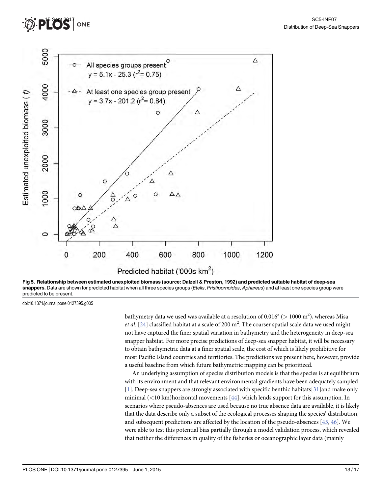# <span id="page-13-0"></span>SC5-INF07<br>Distribution of Deep-Sea





doi:10.1371/journal.pone.0127395.g005

bathymetry data we used was available at a resolution of 0.016° ( $>$  1000 m $^2$ ), whereas Misa *et al.* [\[24\]](#page-16-0) classified habitat at a scale of 200 m<sup>2</sup>. The coarser spatial scale data we used might not have captured the finer spatial variation in bathymetry and the heterogeneity in deep-sea snapper habitat. For more precise predictions of deep-sea snapper habitat, it will be necessary to obtain bathymetric data at a finer spatial scale, the cost of which is likely prohibitive for most Pacific Island countries and territories. The predictions we present here, however, provide a useful baseline from which future bathymetric mapping can be prioritized.

An underlying assumption of species distribution models is that the species is at equilibrium with its environment and that relevant environmental gradients have been adequately sampled [\[1](#page-15-0)]. Deep-sea snappers are strongly associated with specific benthic habitats[\[31\]](#page-16-0)and make only minimal  $(<$ 10 km)horizontal movements  $[44]$  $[44]$  $[44]$ , which lends support for this assumption. In scenarios where pseudo-absences are used because no true absence data are available, it is likely that the data describe only a subset of the ecological processes shaping the species' distribution, and subsequent predictions are affected by the location of the pseudo-absences [\[45](#page-17-0), [46](#page-17-0)]. We were able to test this potential bias partially through a model validation process, which revealed that neither the differences in quality of the fisheries or oceanographic layer data (mainly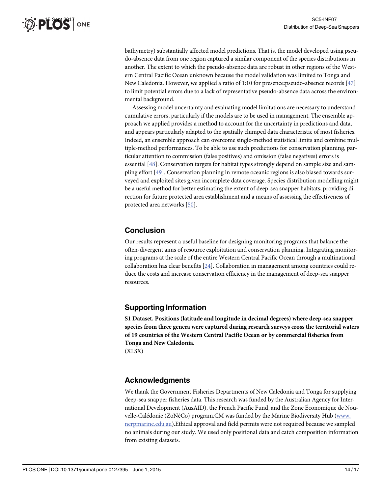<span id="page-14-0"></span>bathymetry) substantially affected model predictions. That is, the model developed using pseudo-absence data from one region captured a similar component of the species distributions in another. The extent to which the pseudo-absence data are robust in other regions of the Western Central Pacific Ocean unknown because the model validation was limited to Tonga and New Caledonia. However, we applied a ratio of 1:10 for presence:pseudo-absence records [\[47](#page-17-0)] to limit potential errors due to a lack of representative pseudo-absence data across the environmental background.

Assessing model uncertainty and evaluating model limitations are necessary to understand cumulative errors, particularly if the models are to be used in management. The ensemble approach we applied provides a method to account for the uncertainty in predictions and data, and appears particularly adapted to the spatially clumped data characteristic of most fisheries. Indeed, an ensemble approach can overcome single-method statistical limits and combine multiple-method performances. To be able to use such predictions for conservation planning, particular attention to commission (false positives) and omission (false negatives) errors is essential [\[48\]](#page-17-0). Conservation targets for habitat types strongly depend on sample size and sampling effort [[49](#page-17-0)]. Conservation planning in remote oceanic regions is also biased towards surveyed and exploited sites given incomplete data coverage. Species distribution modelling might be a useful method for better estimating the extent of deep-sea snapper habitats, providing direction for future protected area establishment and a means of assessing the effectiveness of protected area networks [[50](#page-17-0)].

# **Conclusion**

Our results represent a useful baseline for designing monitoring programs that balance the often-divergent aims of resource exploitation and conservation planning. Integrating monitoring programs at the scale of the entire Western Central Pacific Ocean through a multinational collaboration has clear benefits [\[24\]](#page-16-0). Collaboration in management among countries could reduce the costs and increase conservation efficiency in the management of deep-sea snapper resources.

# Supporting Information

[S1 Dataset.](http://www.plosone.org/article/fetchSingleRepresentation.action?uri=info:doi/10.1371/journal.pone.0127395.s001) Positions (latitude and longitude in decimal degrees) where deep-sea snapper species from three genera were captured during research surveys cross the territorial waters of 19 countries of the Western Central Pacific Ocean or by commercial fisheries from Tonga and New Caledonia. (XLSX)

# Acknowledgments

We thank the Government Fisheries Departments of New Caledonia and Tonga for supplying deep-sea snapper fisheries data. This research was funded by the Australian Agency for International Development (AusAID), the French Pacific Fund, and the Zone Économique de Nouvelle-Calédonie (ZoNéCo) program.CM was funded by the Marine Biodiversity Hub ([www.](http://www.nerpmarine.edu.au) [nerpmarine.edu.au](http://www.nerpmarine.edu.au)).Ethical approval and field permits were not required because we sampled no animals during our study. We used only positional data and catch composition information from existing datasets.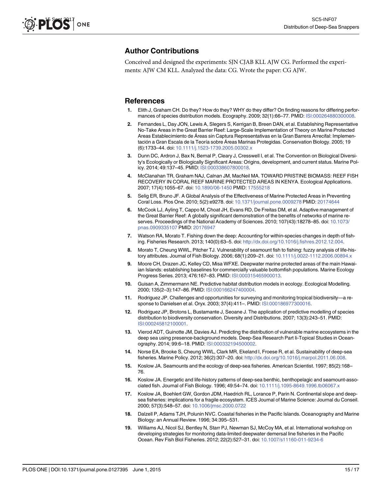# <span id="page-15-0"></span>Author Contributions

Conceived and designed the experiments: SJN CJAB KLL AJW CG. Performed the experiments: AJW CM KLL. Analyzed the data: CG. Wrote the paper: CG AJW.

#### References

- [1.](#page-2-0) Elith J, Graham CH. Do they? How do they? WHY do they differ? On finding reasons for differing performances of species distribution models. Ecography. 2009; 32(1):66–77. PMID: [ISI:000264880300008](http://www.ncbi.nlm.nih.gov/pubmed/ISI:000264880300008).
- [2.](#page-2-0) Fernandes L, Day JON, Lewis A, Slegers S, Kerrigan B, Breen DAN, et al. Establishing Representative No-Take Areas in the Great Barrier Reef: Large-Scale Implementation of Theory on Marine Protected Areas Establecimiento de Áreas sin Captura Representativas en la Gran Barrera Arrecifal: Implementación a Gran Escala de la Teoría sobre Áreas Marinas Protegidas. Conservation Biology. 2005; 19 (6):1733–44. doi: [10.1111/j.1523-1739.2005.00302.x](http://dx.doi.org/10.1111/j.1523-1739.2005.00302.x)
- [3.](#page-2-0) Dunn DC, Ardron J, Bax N, Bernal P, Cleary J, Cresswell I, et al. The Convention on Biological Diversity's Ecologically or Biologically Significant Areas: Origins, development, and current status. Marine Policy. 2014; 49:137–45. PMID: [ISI:000338607800018](http://www.ncbi.nlm.nih.gov/pubmed/ISI:000338607800018).
- [4.](#page-2-0) McClanahan TR, Graham NAJ, Calnan JM, MacNeil MA. TOWARD PRISTINE BIOMASS: REEF FISH RECOVERY IN CORAL REEF MARINE PROTECTED AREAS IN KENYA. Ecological Applications. 2007; 17(4):1055–67. doi: [10.1890/06-1450](http://dx.doi.org/10.1890/06-1450) PMID: [17555218](http://www.ncbi.nlm.nih.gov/pubmed/17555218)
- 5. Selig ER, Bruno JF. A Global Analysis of the Effectiveness of Marine Protected Areas in Preventing Coral Loss. Plos One. 2010; 5(2):e9278. doi: [10.1371/journal.pone.0009278](http://dx.doi.org/10.1371/journal.pone.0009278) PMID: [20174644](http://www.ncbi.nlm.nih.gov/pubmed/20174644)
- [6.](#page-2-0) McCook LJ, Ayling T, Cappo M, Choat JH, Evans RD, De Freitas DM, et al. Adaptive management of the Great Barrier Reef: A globally significant demonstration of the benefits of networks of marine reserves. Proceedings of the National Academy of Sciences. 2010; 107(43):18278–85. doi: [10.1073/](http://dx.doi.org/10.1073/pnas.0909335107) [pnas.0909335107](http://dx.doi.org/10.1073/pnas.0909335107) PMID: [20176947](http://www.ncbi.nlm.nih.gov/pubmed/20176947)
- [7.](#page-2-0) Watson RA, Morato T. Fishing down the deep: Accounting for within-species changes in depth of fishing. Fisheries Research. 2013; 140(0):63–5. doi: [http://dx.doi.org/10.1016/j.fishres.2012.12.004.](http://dx.doi.org/10.1016/j.fishres.2012.12.004)
- [8.](#page-2-0) Morato T, Cheung WWL, Pitcher TJ. Vulnerability of seamount fish to fishing: fuzzy analysis of life-his-tory attributes. Journal of Fish Biology. 2006; 68(1):209-21. doi: [10.1111/j.0022-1112.2006.00894.x](http://dx.doi.org/10.1111/j.0022-1112.2006.00894.x)
- [9.](#page-2-0) Moore CH, Drazen JC, Kelley CD, Misa WFXE. Deepwater marine protected areas of the main Hawaiian Islands: establishing baselines for commercially valuable bottomfish populations. Marine Ecology Progress Series. 2013; 476:167–83. PMID: [ISI:000315465900013.](http://www.ncbi.nlm.nih.gov/pubmed/ISI:000315465900013)
- [10.](#page-2-0) Guisan A, Zimmermann NE. Predictive habitat distribution models in ecology. Ecological Modelling. 2000; 135(2–3):147–86. PMID: [ISI:000166247400004](http://www.ncbi.nlm.nih.gov/pubmed/ISI:000166247400004).
- 11. Rodriguez JP. Challenges and opportunities for surveying and monitoring tropical biodiversity—a response to Danielsen et al. Oryx. 2003; 37(4):411–. PMID: [ISI:000186977300016.](http://www.ncbi.nlm.nih.gov/pubmed/ISI:000186977300016)
- [12.](#page-2-0) Rodriguez JP, Brotons L, Bustamante J, Seoane J. The application of predictive modelling of species distribution to biodiversity conservation. Diversity and Distributions. 2007; 13(3):243–51. PMID: [ISI:000245812100001.](http://www.ncbi.nlm.nih.gov/pubmed/ISI:000245812100001)
- [13.](#page-2-0) Vierod ADT, Guinotte JM, Davies AJ. Predicting the distribution of vulnerable marine ecosystems in the deep sea using presence-background models. Deep-Sea Research Part Ii-Topical Studies in Oceanography. 2014; 99:6–18. PMID: [ISI:000332194500002](http://www.ncbi.nlm.nih.gov/pubmed/ISI:000332194500002).
- [14.](#page-2-0) Norse EA, Brooke S, Cheung WWL, Clark MR, Ekeland I, Froese R, et al. Sustainability of deep-sea fisheries. Marine Policy. 2012; 36(2):307–20. doi: <http://dx.doi.org/10.1016/j.marpol.2011.06.008>.
- 15. Koslow JA. Seamounts and the ecology of deep-sea fisheries. American Scientist. 1997; 85(2):168– 76.
- [16.](#page-2-0) Koslow JA. Energetic and life-history patterns of deep-sea benthic, benthopelagic and seamount-asso-ciated fish. Journal of Fish Biology. 1996; 49:54-74. doi: [10.1111/j.1095-8649.1996.tb06067.x](http://dx.doi.org/10.1111/j.1095-8649.1996.tb06067.x)
- [17.](#page-2-0) Koslow JA, Boehlert GW, Gordon JDM, Haedrich RL, Lorance P, Parin N. Continental slope and deepsea fisheries: implications for a fragile ecosystem. ICES Journal of Marine Science: Journal du Conseil. 2000; 57(3):548–57. doi: [10.1006/jmsc.2000.0722](http://dx.doi.org/10.1006/jmsc.2000.0722)
- [18.](#page-2-0) Dalzell P, Adams TJH, Polunin NVC. Coastal fisheries in the Pacific Islands. Oceanography and Marine Biology: an Annual Review. 1996; 34:395–531.
- [19.](#page-2-0) Williams AJ, Nicol SJ, Bentley N, Starr PJ, Newman SJ, McCoy MA, et al. International workshop on developing strategies for monitoring data-limited deepwater demersal line fisheries in the Pacific Ocean. Rev Fish Biol Fisheries. 2012; 22(2):527–31. doi: [10.1007/s11160-011-9234-6](http://dx.doi.org/10.1007/s11160-011-9234-6)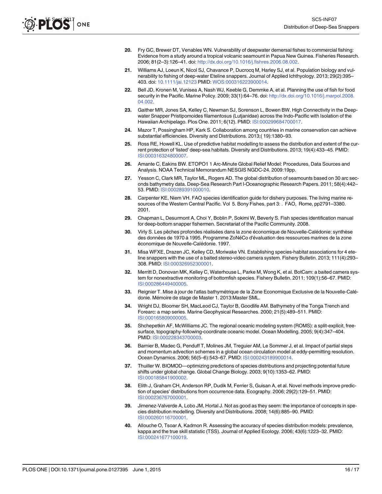- <span id="page-16-0"></span>[20.](#page-2-0) Fry GC, Brewer DT, Venables WN. Vulnerability of deepwater demersal fishes to commercial fishing: Evidence from a study around a tropical volcanic seamount in Papua New Guinea. Fisheries Research. 2006; 81(2–3):126–41. doi: <http://dx.doi.org/10.1016/j.fishres.2006.08.002>.
- [21.](#page-2-0) Williams AJ, Loeun K, Nicol SJ, Chavance P, Ducrocq M, Harley SJ, et al. Population biology and vulnerability to fishing of deep-water Eteline snappers. Journal of Applied Ichthyology. 2013; 29(2):395– 403. doi: [10.1111/jai.12123](http://dx.doi.org/10.1111/jai.12123) PMID: [WOS:000316223900014.](http://www.ncbi.nlm.nih.gov/pubmed/WOS:000316223900014)
- [22.](#page-2-0) Bell JD, Kronen M, Vunisea A, Nash WJ, Keeble G, Demmke A, et al. Planning the use of fish for food security in the Pacific. Marine Policy. 2009; 33(1):64-76. doi: [http://dx.doi.org/10.1016/j.marpol.2008.](http://dx.doi.org/10.1016/j.marpol.2008.04.002) [04.002](http://dx.doi.org/10.1016/j.marpol.2008.04.002).
- [23.](#page-3-0) Gaither MR, Jones SA, Kelley C, Newman SJ, Sorenson L, Bowen BW. High Connectivity in the Deepwater Snapper Pristipomoides filamentosus (Lutjanidae) across the Indo-Pacific with Isolation of the Hawaiian Archipelago. Plos One. 2011; 6(12). PMID: [ISI:000299684700017](http://www.ncbi.nlm.nih.gov/pubmed/ISI:000299684700017).
- [24.](#page-3-0) Mazor T, Possingham HP, Kark S. Collaboration among countries in marine conservation can achieve substantial efficiencies. Diversity and Distributions. 2013;( 19):1380–93.
- [25.](#page-3-0) Ross RE, Howell KL. Use of predictive habitat modelling to assess the distribution and extent of the current protection of 'listed' deep-sea habitats. Diversity and Distributions. 2013; 19(4):433–45. PMID: [ISI:000316324800007.](http://www.ncbi.nlm.nih.gov/pubmed/ISI:000316324800007)
- [26.](#page-3-0) Amante C, Eakins BW. ETOPO1 1 Arc-Minute Global Relief Model: Procedures, Data Sources and Analysis. NOAA Technical Memorandum NESGIS NGDC-24. 2009:19pp.
- [27.](#page-3-0) Yesson C, Clark MR, Taylor ML, Rogers AD. The global distribution of seamounts based on 30 arc seconds bathymetry data. Deep-Sea Research Part I-Oceanographic Research Papers. 2011; 58(4):442– 53. PMID: [ISI:000289391000010](http://www.ncbi.nlm.nih.gov/pubmed/ISI:000289391000010).
- [28.](#page-3-0) Carpenter KE, Niem VH. FAO species identification guide for dishery purposes. The living marine resources of the Western Central Pacific. Vol 5. Bony Fishes, part 3: . FAO, Rome, pp2791–3380. 2001.
- [29.](#page-3-0) Chapman L, Desurmont A, Choi Y, Boblin P, Sokimi W, Beverly S. Fish species identification manual for deep-bottom snapper fishermen. Secretariat of the Pacific Community. 2008.
- [30.](#page-3-0) Virly S. Les pêches profondes réalisées dans la zone économique de Nouvelle-Calédonie: synthèse des données de 1970 à 1995. Programme ZoNéCo d'évaluation des ressources marines de la zone économique de Nouvelle-Calédonie. 1997.
- [31.](#page-4-0) Misa WFXE, Drazen JC, Kelley CD, Moriwake VN. Establishing species-habitat associations for 4 eteline snappers with the use of a baited stereo-video camera system. Fishery Bulletin. 2013; 111(4):293– 308. PMID: [ISI:000326952300001.](http://www.ncbi.nlm.nih.gov/pubmed/ISI:000326952300001)
- [32.](#page-4-0) Merritt D, Donovan MK, Kelley C, Waterhouse L, Parke M, Wong K, et al. BotCam: a baited camera system for nonextractive monitoring of bottomfish species. Fishery Bulletin. 2011; 109(1):56–67. PMID: [ISI:000286449400005.](http://www.ncbi.nlm.nih.gov/pubmed/ISI:000286449400005)
- [33.](#page-4-0) Reignier T. Mise à jour de l'atlas bathymétrique de la Zone Economique Exclusive de la Nouvelle-Calédonie. Mémoire de stage de Master 1. 2013:Master SML.
- [34.](#page-4-0) Wright DJ, Bloomer SH, MacLeod CJ, Taylor B, Goodlife AM. Bathymetry of the Tonga Trench and Forearc: a map series. Marine Geophysical Researches. 2000; 21(5):489–511. PMID: [ISI:000165809000005.](http://www.ncbi.nlm.nih.gov/pubmed/ISI:000165809000005)
- [35.](#page-4-0) Shchepetkin AF, McWilliams JC. The regional oceanic modeling system (ROMS): a split-explicit, freesurface, topography-following-coordinate oceanic model. Ocean Modelling. 2005; 9(4):347–404. PMID: [ISI:000228343700003.](http://www.ncbi.nlm.nih.gov/pubmed/ISI:000228343700003)
- [36.](#page-4-0) Barnier B, Madec G, Penduff T, Molines JM, Treguier AM, Le Sommer J, et al. Impact of partial steps and momentum advection schemes in a global ocean circulation model at eddy-permitting resolution. Ocean Dynamics. 2006; 56(5–6):543–67. PMID: [ISI:000243189900014.](http://www.ncbi.nlm.nih.gov/pubmed/ISI:000243189900014)
- [37.](#page-4-0) Thuiller W. BIOMOD—optimizing predictions of species distributions and projecting potential future shifts under global change. Global Change Biology. 2003; 9(10):1353–62. PMID: [ISI:000185841900002.](http://www.ncbi.nlm.nih.gov/pubmed/ISI:000185841900002)
- [38.](#page-4-0) Elith J, Graham CH, Anderson RP, Dudik M, Ferrier S, Guisan A, et al. Novel methods improve prediction of species' distributions from occurrence data. Ecography. 2006; 29(2):129–51. PMID: [ISI:000236767000001.](http://www.ncbi.nlm.nih.gov/pubmed/ISI:000236767000001)
- [39.](#page-5-0) Jimenez-Valverde A, Lobo JM, Hortal J. Not as good as they seem: the importance of concepts in species distribution modelling. Diversity and Distributions. 2008; 14(6):885–90. PMID: [ISI:000260116700001.](http://www.ncbi.nlm.nih.gov/pubmed/ISI:000260116700001)
- [40.](#page-5-0) Allouche O, Tsoar A, Kadmon R. Assessing the accuracy of species distribution models: prevalence, kappa and the true skill statistic (TSS). Journal of Applied Ecology. 2006; 43(6):1223–32. PMID: [ISI:000241677100019.](http://www.ncbi.nlm.nih.gov/pubmed/ISI:000241677100019)